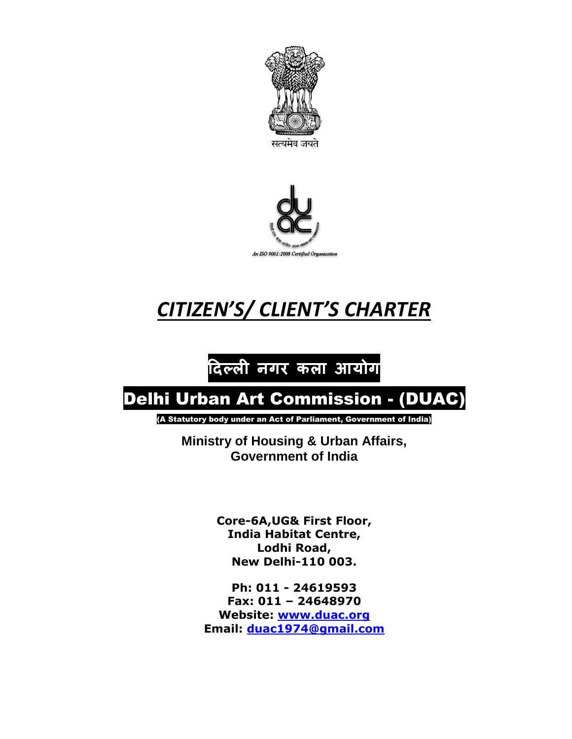



# *CITIZEN'S/ CLIENT'S CHARTER*

## **दिल्ली नगर कला आयोग**

## Delhi Urban Art Commission - (DUAC)

(A Statutory body under an Act of Parliament, Government of India)

**Ministry of Housing & Urban Affairs, Government of India**

> **Core-6A,UG& First Floor, India Habitat Centre, Lodhi Road, New Delhi-110 003.**

**Ph: 011 - 24619593 Fax: 011 – 24648970 Website: [www.duac.org](http://www.duac.org/) Email: [duac1974@gmail.com](mailto:duac1974@gmail.com)**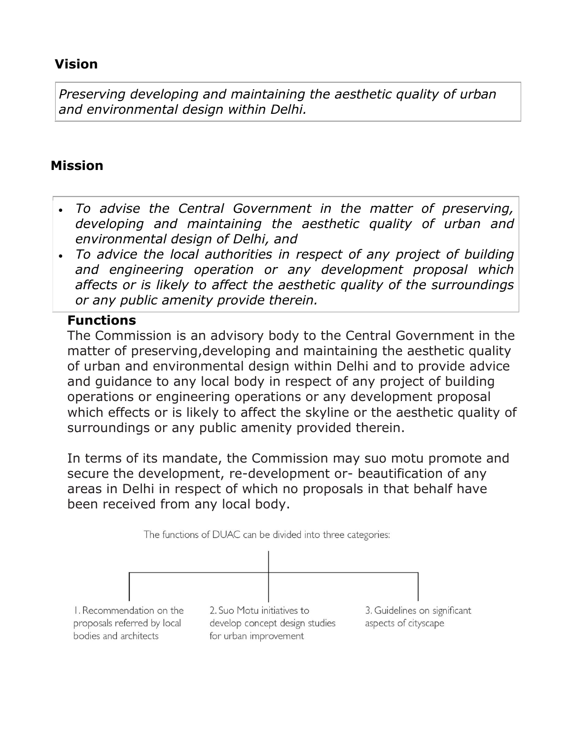### **Vision**

*Preserving developing and maintaining the aesthetic quality of urban and environmental design within Delhi.*

### **Mission**

- *To advise the Central Government in the matter of preserving, developing and maintaining the aesthetic quality of urban and environmental design of Delhi, and*
- *To advice the local authorities in respect of any project of building and engineering operation or any development proposal which affects or is likely to affect the aesthetic quality of the surroundings or any public amenity provide therein.*

#### **Functions**

The Commission is an advisory body to the Central Government in the matter of preserving,developing and maintaining the aesthetic quality of urban and environmental design within Delhi and to provide advice and guidance to any local body in respect of any project of building operations or engineering operations or any development proposal which effects or is likely to affect the skyline or the aesthetic quality of surroundings or any public amenity provided therein.

In terms of its mandate, the Commission may suo motu promote and secure the development, re-development or- beautification of any areas in Delhi in respect of which no proposals in that behalf have been received from any local body.

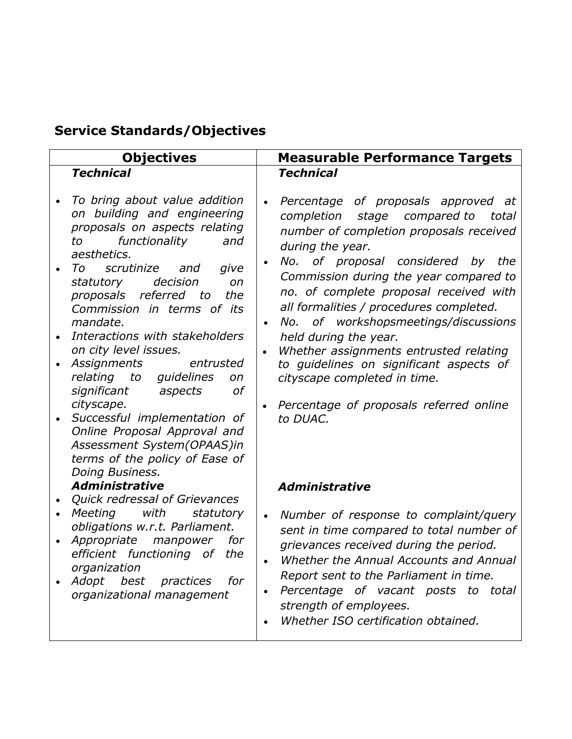### **Service Standards/Objectives**

|           | <b>Objectives</b>                                                                                                                                                                                                                                                                                                                                                                                                                                                                                                                                                          |                        | <b>Measurable Performance Targets</b>                                                                                                                                                                                                                                                                                                                                                                                                                                                                                                                                 |
|-----------|----------------------------------------------------------------------------------------------------------------------------------------------------------------------------------------------------------------------------------------------------------------------------------------------------------------------------------------------------------------------------------------------------------------------------------------------------------------------------------------------------------------------------------------------------------------------------|------------------------|-----------------------------------------------------------------------------------------------------------------------------------------------------------------------------------------------------------------------------------------------------------------------------------------------------------------------------------------------------------------------------------------------------------------------------------------------------------------------------------------------------------------------------------------------------------------------|
|           | <b>Technical</b>                                                                                                                                                                                                                                                                                                                                                                                                                                                                                                                                                           |                        | <b>Technical</b>                                                                                                                                                                                                                                                                                                                                                                                                                                                                                                                                                      |
|           | To bring about value addition<br>on building and engineering<br>proposals on aspects relating<br>functionality<br>to<br>and<br>aesthetics.<br>scrutinize and<br>To<br>give<br>decision<br>statutory<br>on<br>referred<br>the<br>proposals<br>to<br>Commission in terms of its<br>mandate.<br>Interactions with stakeholders<br>on city level issues.<br>Assignments<br>entrusted<br>relating to<br>quidelines<br>on<br><sub>of</sub><br>significant<br>aspects<br>cityscape.<br>Successful implementation of<br>Online Proposal Approval and<br>Assessment System(OPAAS)in | $\bullet$<br>$\bullet$ | Percentage of proposals approved at<br>completion<br>stage compared to<br>total<br>number of completion proposals received<br>during the year.<br>No. of proposal considered by<br>the<br>Commission during the year compared to<br>no. of complete proposal received with<br>all formalities / procedures completed.<br>of workshopsmeetings/discussions<br>No.<br>held during the year.<br>Whether assignments entrusted relating<br>to guidelines on significant aspects of<br>cityscape completed in time.<br>Percentage of proposals referred online<br>to DUAC. |
| $\bullet$ | terms of the policy of Ease of<br>Doing Business.<br><b>Administrative</b><br>Quick redressal of Grievances<br>with<br>Meeting<br>statutory<br>obligations w.r.t. Parliament.<br>Appropriate manpower<br>for<br>efficient functioning of the<br>organization<br>Adopt<br>best<br>practices<br>for<br>organizational management                                                                                                                                                                                                                                             | $\bullet$              | <b>Administrative</b><br>Number of response to complaint/query<br>sent in time compared to total number of<br>grievances received during the period.<br>Whether the Annual Accounts and Annual<br>Report sent to the Parliament in time.<br>Percentage of vacant posts to total<br>strength of employees.<br>Whether ISO certification obtained.                                                                                                                                                                                                                      |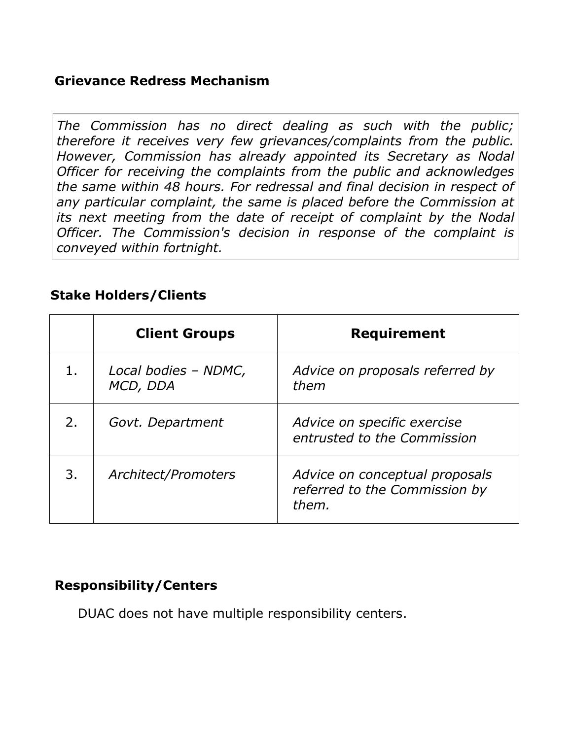### **Grievance Redress Mechanism**

*The Commission has no direct dealing as such with the public; therefore it receives very few grievances/complaints from the public. However, Commission has already appointed its Secretary as Nodal Officer for receiving the complaints from the public and acknowledges the same within 48 hours. For redressal and final decision in respect of any particular complaint, the same is placed before the Commission at its next meeting from the date of receipt of complaint by the Nodal Officer. The Commission's decision in response of the complaint is conveyed within fortnight.*

#### **Stake Holders/Clients**

|    | <b>Client Groups</b>             | <b>Requirement</b>                                                       |
|----|----------------------------------|--------------------------------------------------------------------------|
|    | Local bodies - NDMC,<br>MCD, DDA | Advice on proposals referred by<br>them                                  |
| 2. | Govt. Department                 | Advice on specific exercise<br>entrusted to the Commission               |
| 3. | Architect/Promoters              | Advice on conceptual proposals<br>referred to the Commission by<br>them. |

### **Responsibility/Centers**

DUAC does not have multiple responsibility centers.